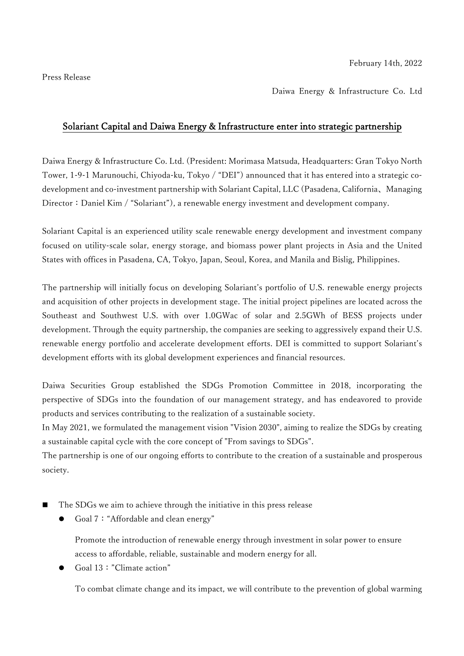Press Release

Daiwa Energy & Infrastructure Co. Ltd

## Solariant Capital and Daiwa Energy & Infrastructure enter into strategic partnership

Daiwa Energy & Infrastructure Co. Ltd. (President: Morimasa Matsuda, Headquarters: Gran Tokyo North Tower, 1-9-1 Marunouchi, Chiyoda-ku, Tokyo / "DEI") announced that it has entered into a strategic codevelopment and co-investment partnership with Solariant Capital, LLC (Pasadena, California、Managing Director: Daniel Kim / "Solariant"), a renewable energy investment and development company.

Solariant Capital is an experienced utility scale renewable energy development and investment company focused on utility-scale solar, energy storage, and biomass power plant projects in Asia and the United States with offices in Pasadena, CA, Tokyo, Japan, Seoul, Korea, and Manila and Bislig, Philippines.

The partnership will initially focus on developing Solariant's portfolio of U.S. renewable energy projects and acquisition of other projects in development stage. The initial project pipelines are located across the Southeast and Southwest U.S. with over 1.0GWac of solar and 2.5GWh of BESS projects under development. Through the equity partnership, the companies are seeking to aggressively expand their U.S. renewable energy portfolio and accelerate development efforts. DEI is committed to support Solariant's development efforts with its global development experiences and financial resources.

Daiwa Securities Group established the SDGs Promotion Committee in 2018, incorporating the perspective of SDGs into the foundation of our management strategy, and has endeavored to provide products and services contributing to the realization of a sustainable society.

In May 2021, we formulated the management vision "Vision 2030", aiming to realize the SDGs by creating a sustainable capital cycle with the core concept of "From savings to SDGs".

The partnership is one of our ongoing efforts to contribute to the creation of a sustainable and prosperous society.

- The SDGs we aim to achieve through the initiative in this press release
	- Goal 7: "Affordable and clean energy"

Promote the introduction of renewable energy through investment in solar power to ensure access to affordable, reliable, sustainable and modern energy for all.

Goal 13:"Climate action"

To combat climate change and its impact, we will contribute to the prevention of global warming